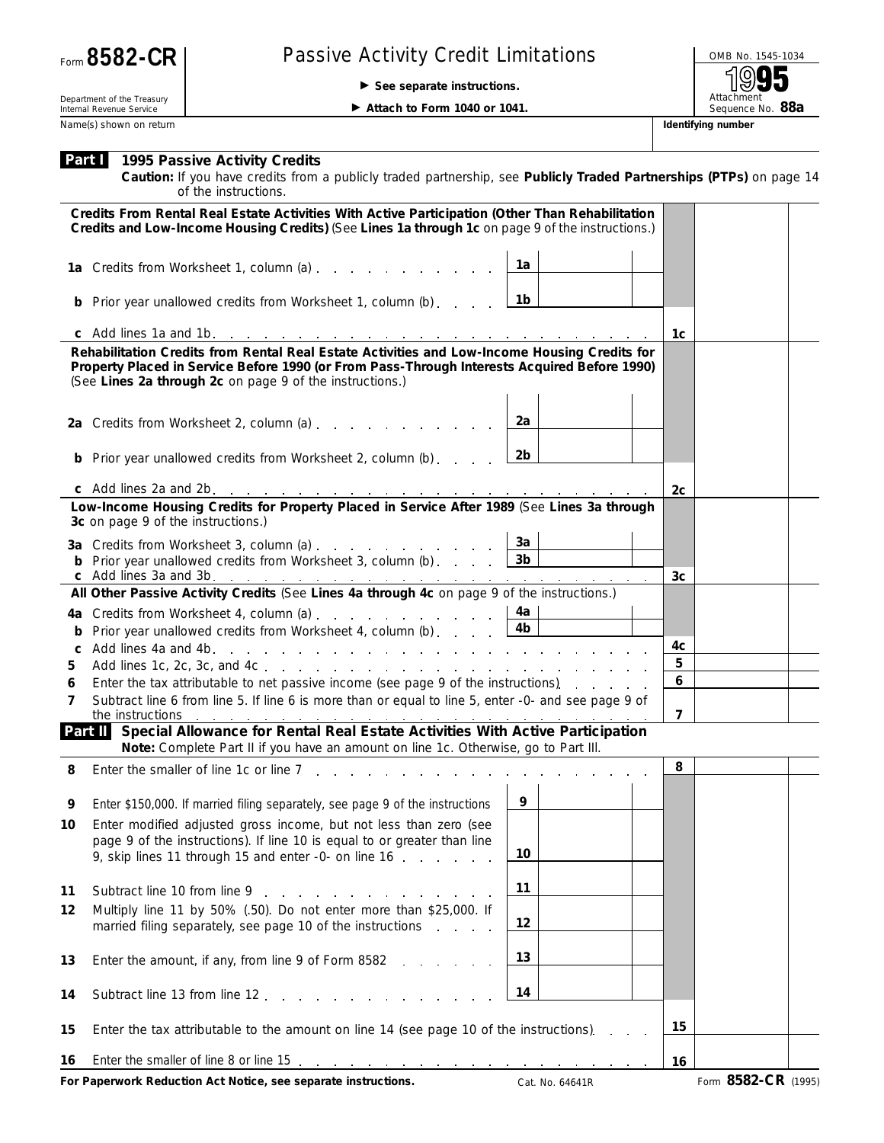## Passive Activity Credit Limitations **Passive Activity Credit Limitations**

© **See separate instructions.**

Attachment<br>Sequence No. 88a

Department of the Treasury Internal Revenue Service Name(s) shown on return **Identifying number Identifying number Identifying number** 

▶ Attach to Form 1040 or 1041.

|    | <b>Part 1995 Passive Activity Credits</b><br>Caution: If you have credits from a publicly traded partnership, see Publicly Traded Partnerships (PTPs) on page 14<br>of the instructions.                                                                 |                 |                  |                     |  |
|----|----------------------------------------------------------------------------------------------------------------------------------------------------------------------------------------------------------------------------------------------------------|-----------------|------------------|---------------------|--|
|    | Credits From Rental Real Estate Activities With Active Participation (Other Than Rehabilitation<br>Credits and Low-Income Housing Credits) (See Lines 1a through 1c on page 9 of the instructions.)                                                      |                 |                  |                     |  |
|    | 1a Credits from Worksheet 1, column (a)                                                                                                                                                                                                                  | 1a              |                  |                     |  |
|    | <b>b</b> Prior year unallowed credits from Worksheet 1, column (b)                                                                                                                                                                                       | 1b              |                  |                     |  |
|    |                                                                                                                                                                                                                                                          |                 | 1c               |                     |  |
|    | Rehabilitation Credits from Rental Real Estate Activities and Low-Income Housing Credits for<br>Property Placed in Service Before 1990 (or From Pass-Through Interests Acquired Before 1990)<br>(See Lines 2a through 2c on page 9 of the instructions.) |                 |                  |                     |  |
|    | 2a Credits from Worksheet 2, column (a) $\ldots$ $\ldots$ $\ldots$ $\ldots$ $\ldots$                                                                                                                                                                     | 2a              |                  |                     |  |
|    | <b>b</b> Prior year unallowed credits from Worksheet 2, column (b)                                                                                                                                                                                       | 2b              |                  |                     |  |
|    |                                                                                                                                                                                                                                                          |                 | 2c               |                     |  |
|    | Low-Income Housing Credits for Property Placed in Service After 1989 (See Lines 3a through<br>3c on page 9 of the instructions.)                                                                                                                         |                 |                  |                     |  |
|    | <b>3a</b> Credits from Worksheet 3, column (a) $\ldots$ $\ldots$ $\ldots$ $\ldots$ $\frac{3a}{a}$                                                                                                                                                        |                 |                  |                     |  |
|    | <b>b</b> Prior year unallowed credits from Worksheet 3, column (b) $\ldots$ $\boxed{3b}$                                                                                                                                                                 |                 |                  |                     |  |
|    | All Other Passive Activity Credits (See Lines 4a through 4c on page 9 of the instructions.)                                                                                                                                                              |                 | 3c               |                     |  |
|    |                                                                                                                                                                                                                                                          |                 |                  |                     |  |
|    | 4a Credits from Worksheet 4, column (a) $\ldots$ $\ldots$ $\ldots$ $\ldots$ $\lfloor$ 4a<br>Prior year unallowed credits from Worksheet 4, column (b) $\ldots$ $\ldots$                                                                                  | 4 <sub>b</sub>  |                  |                     |  |
| C  |                                                                                                                                                                                                                                                          |                 | 4c               |                     |  |
| 5  |                                                                                                                                                                                                                                                          |                 | 5                |                     |  |
| 6  | Enter the tax attributable to net passive income (see page 9 of the instructions).                                                                                                                                                                       |                 | $\boldsymbol{6}$ |                     |  |
| 7  | Subtract line 6 from line 5. If line 6 is more than or equal to line 5, enter -0- and see page 9 of<br>the instructions                                                                                                                                  |                 | $\overline{7}$   |                     |  |
|    | Part II Special Allowance for Rental Real Estate Activities With Active Participation<br>Note: Complete Part II if you have an amount on line 1c. Otherwise, go to Part III.                                                                             |                 |                  |                     |  |
| 8  |                                                                                                                                                                                                                                                          |                 | 8                |                     |  |
| 9  | Enter \$150,000. If married filing separately, see page 9 of the instructions                                                                                                                                                                            | 9               |                  |                     |  |
| 10 | Enter modified adjusted gross income, but not less than zero (see<br>page 9 of the instructions). If line 10 is equal to or greater than line<br>9, skip lines 11 through 15 and enter -0- on line 16                                                    | 10              |                  |                     |  |
| 11 | Subtract line 10 from line 9 and 1 and 1 and 1 and 1 and 1 and 1 and 1 and 1 and 1 and 1 and 1 and 1 and 1 and 1 and 1 and 1 and 1 and 1 and 1 and 1 and 1 and 1 and 1 and 1 and 1 and 1 and 1 and 1 and 1 and 1 and 1 and 1 a                           | 11              |                  |                     |  |
| 12 | Multiply line 11 by 50% (.50). Do not enter more than \$25,000. If<br>married filing separately, see page 10 of the instructions                                                                                                                         | 12              |                  |                     |  |
| 13 | Enter the amount, if any, from line 9 of Form 8582<br>and the company of the company                                                                                                                                                                     | 13              |                  |                     |  |
| 14 | Subtract line 13 from line 12                                                                                                                                                                                                                            | 14              |                  |                     |  |
| 15 | Enter the tax attributable to the amount on line 14 (see page 10 of the instructions).                                                                                                                                                                   |                 | 15               |                     |  |
| 16 |                                                                                                                                                                                                                                                          |                 | 16               |                     |  |
|    | For Paperwork Reduction Act Notice, see separate instructions.                                                                                                                                                                                           | Cat. No. 64641R |                  | Form 8582-CR (1995) |  |